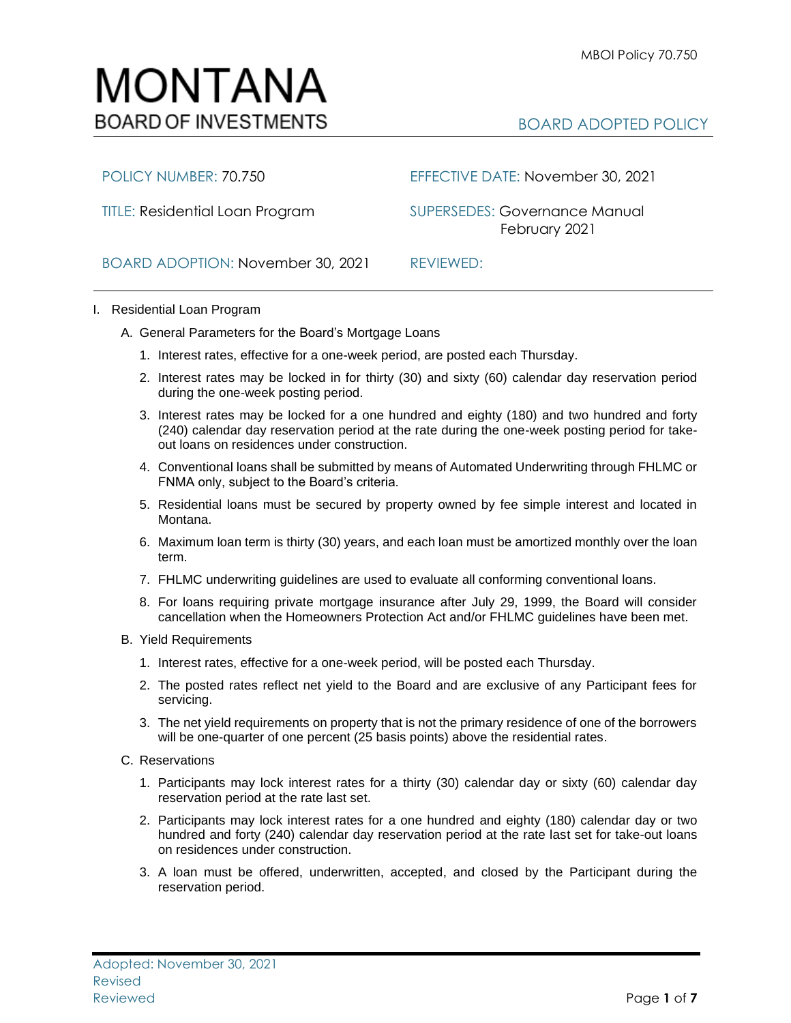# MONTANA **BOARD OF INVESTMENTS**

## BOARD ADOPTED POLICY

POLICY NUMBER: 70.750 EFFECTIVE DATE: November 30, 2021

TITLE: Residential Loan Program SUPERSEDES: Governance Manual February 2021

BOARD ADOPTION: November 30, 2021 REVIEWED:

### I. Residential Loan Program

- A. General Parameters for the Board's Mortgage Loans
	- 1. Interest rates, effective for a one-week period, are posted each Thursday.
	- 2. Interest rates may be locked in for thirty (30) and sixty (60) calendar day reservation period during the one-week posting period.
	- 3. Interest rates may be locked for a one hundred and eighty (180) and two hundred and forty (240) calendar day reservation period at the rate during the one-week posting period for takeout loans on residences under construction.
	- 4. Conventional loans shall be submitted by means of Automated Underwriting through FHLMC or FNMA only, subject to the Board's criteria.
	- 5. Residential loans must be secured by property owned by fee simple interest and located in Montana.
	- 6. Maximum loan term is thirty (30) years, and each loan must be amortized monthly over the loan term.
	- 7. FHLMC underwriting guidelines are used to evaluate all conforming conventional loans.
	- 8. For loans requiring private mortgage insurance after July 29, 1999, the Board will consider cancellation when the Homeowners Protection Act and/or FHLMC guidelines have been met.
- B. Yield Requirements
	- 1. Interest rates, effective for a one-week period, will be posted each Thursday.
	- 2. The posted rates reflect net yield to the Board and are exclusive of any Participant fees for servicing.
	- 3. The net yield requirements on property that is not the primary residence of one of the borrowers will be one-quarter of one percent (25 basis points) above the residential rates.
- C. Reservations
	- 1. Participants may lock interest rates for a thirty (30) calendar day or sixty (60) calendar day reservation period at the rate last set.
	- 2. Participants may lock interest rates for a one hundred and eighty (180) calendar day or two hundred and forty (240) calendar day reservation period at the rate last set for take-out loans on residences under construction.
	- 3. A loan must be offered, underwritten, accepted, and closed by the Participant during the reservation period.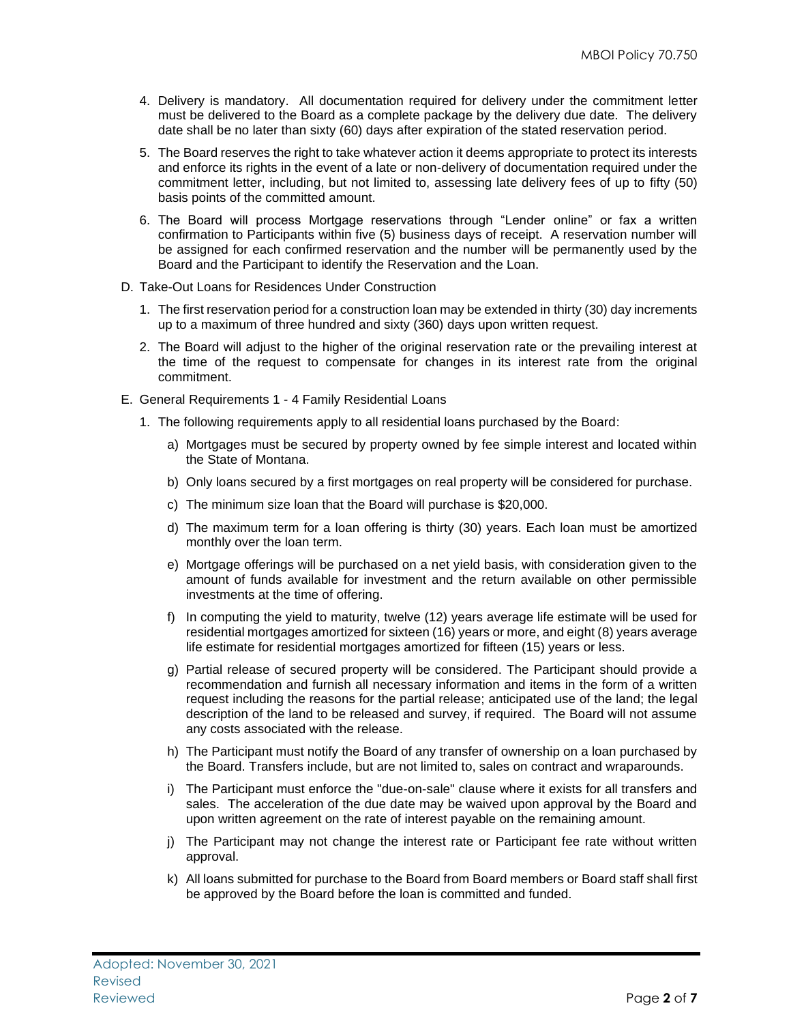- 4. Delivery is mandatory. All documentation required for delivery under the commitment letter must be delivered to the Board as a complete package by the delivery due date. The delivery date shall be no later than sixty (60) days after expiration of the stated reservation period.
- 5. The Board reserves the right to take whatever action it deems appropriate to protect its interests and enforce its rights in the event of a late or non-delivery of documentation required under the commitment letter, including, but not limited to, assessing late delivery fees of up to fifty (50) basis points of the committed amount.
- 6. The Board will process Mortgage reservations through "Lender online" or fax a written confirmation to Participants within five (5) business days of receipt. A reservation number will be assigned for each confirmed reservation and the number will be permanently used by the Board and the Participant to identify the Reservation and the Loan.
- D. Take-Out Loans for Residences Under Construction
	- 1. The first reservation period for a construction loan may be extended in thirty (30) day increments up to a maximum of three hundred and sixty (360) days upon written request.
	- 2. The Board will adjust to the higher of the original reservation rate or the prevailing interest at the time of the request to compensate for changes in its interest rate from the original commitment.
- E. General Requirements 1 4 Family Residential Loans
	- 1. The following requirements apply to all residential loans purchased by the Board:
		- a) Mortgages must be secured by property owned by fee simple interest and located within the State of Montana.
		- b) Only loans secured by a first mortgages on real property will be considered for purchase.
		- c) The minimum size loan that the Board will purchase is \$20,000.
		- d) The maximum term for a loan offering is thirty (30) years. Each loan must be amortized monthly over the loan term.
		- e) Mortgage offerings will be purchased on a net yield basis, with consideration given to the amount of funds available for investment and the return available on other permissible investments at the time of offering.
		- f) In computing the yield to maturity, twelve (12) years average life estimate will be used for residential mortgages amortized for sixteen (16) years or more, and eight (8) years average life estimate for residential mortgages amortized for fifteen (15) years or less.
		- g) Partial release of secured property will be considered. The Participant should provide a recommendation and furnish all necessary information and items in the form of a written request including the reasons for the partial release; anticipated use of the land; the legal description of the land to be released and survey, if required. The Board will not assume any costs associated with the release.
		- h) The Participant must notify the Board of any transfer of ownership on a loan purchased by the Board. Transfers include, but are not limited to, sales on contract and wraparounds.
		- i) The Participant must enforce the "due-on-sale" clause where it exists for all transfers and sales. The acceleration of the due date may be waived upon approval by the Board and upon written agreement on the rate of interest payable on the remaining amount.
		- j) The Participant may not change the interest rate or Participant fee rate without written approval.
		- k) All loans submitted for purchase to the Board from Board members or Board staff shall first be approved by the Board before the loan is committed and funded.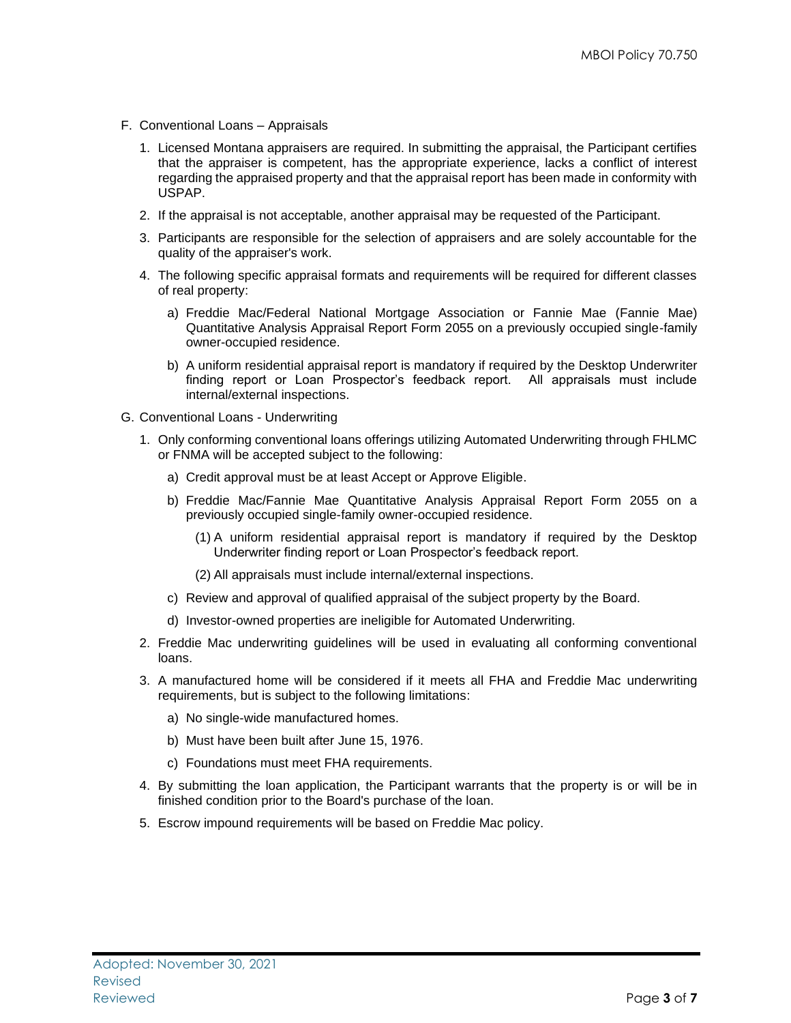- F. Conventional Loans Appraisals
	- 1. Licensed Montana appraisers are required. In submitting the appraisal, the Participant certifies that the appraiser is competent, has the appropriate experience, lacks a conflict of interest regarding the appraised property and that the appraisal report has been made in conformity with USPAP.
	- 2. If the appraisal is not acceptable, another appraisal may be requested of the Participant.
	- 3. Participants are responsible for the selection of appraisers and are solely accountable for the quality of the appraiser's work.
	- 4. The following specific appraisal formats and requirements will be required for different classes of real property:
		- a) Freddie Mac/Federal National Mortgage Association or Fannie Mae (Fannie Mae) Quantitative Analysis Appraisal Report Form 2055 on a previously occupied single-family owner-occupied residence.
		- b) A uniform residential appraisal report is mandatory if required by the Desktop Underwriter finding report or Loan Prospector's feedback report. All appraisals must include internal/external inspections.
- G. Conventional Loans Underwriting
	- 1. Only conforming conventional loans offerings utilizing Automated Underwriting through FHLMC or FNMA will be accepted subject to the following:
		- a) Credit approval must be at least Accept or Approve Eligible.
		- b) Freddie Mac/Fannie Mae Quantitative Analysis Appraisal Report Form 2055 on a previously occupied single-family owner-occupied residence.
			- (1) A uniform residential appraisal report is mandatory if required by the Desktop Underwriter finding report or Loan Prospector's feedback report.
			- (2) All appraisals must include internal/external inspections.
		- c) Review and approval of qualified appraisal of the subject property by the Board.
		- d) Investor-owned properties are ineligible for Automated Underwriting.
	- 2. Freddie Mac underwriting guidelines will be used in evaluating all conforming conventional loans.
	- 3. A manufactured home will be considered if it meets all FHA and Freddie Mac underwriting requirements, but is subject to the following limitations:
		- a) No single-wide manufactured homes.
		- b) Must have been built after June 15, 1976.
		- c) Foundations must meet FHA requirements.
	- 4. By submitting the loan application, the Participant warrants that the property is or will be in finished condition prior to the Board's purchase of the loan.
	- 5. Escrow impound requirements will be based on Freddie Mac policy.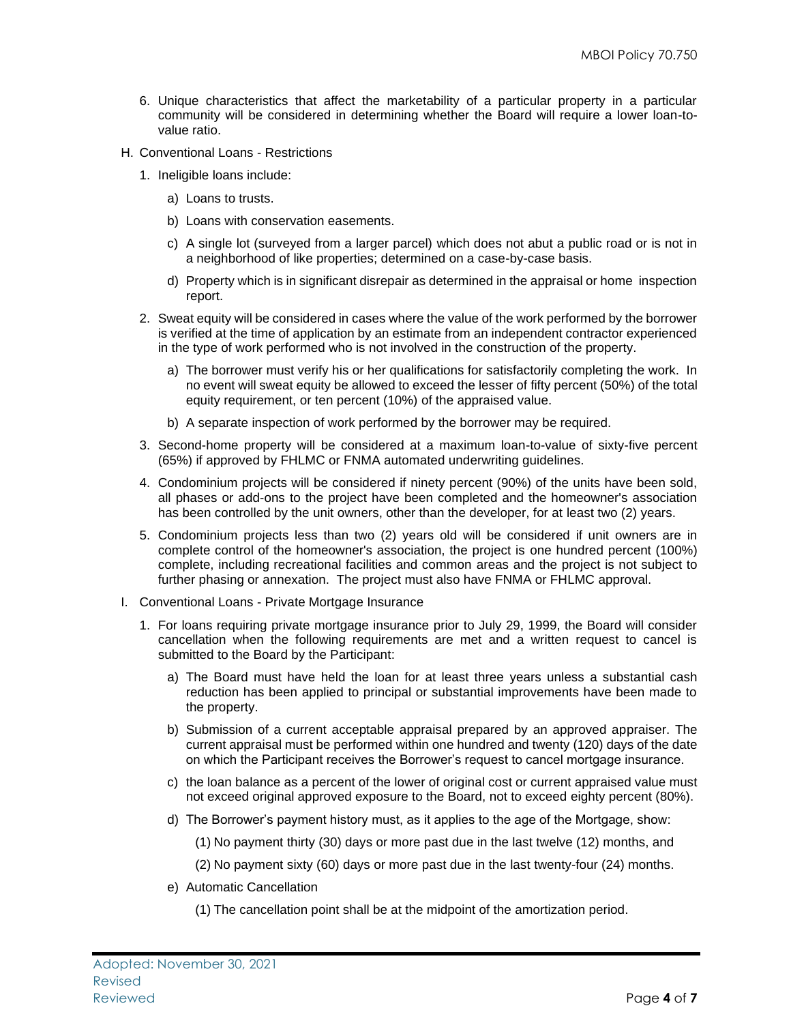- 6. Unique characteristics that affect the marketability of a particular property in a particular community will be considered in determining whether the Board will require a lower loan-tovalue ratio.
- H. Conventional Loans Restrictions
	- 1. Ineligible loans include:
		- a) Loans to trusts.
		- b) Loans with conservation easements.
		- c) A single lot (surveyed from a larger parcel) which does not abut a public road or is not in a neighborhood of like properties; determined on a case-by-case basis.
		- d) Property which is in significant disrepair as determined in the appraisal or home inspection report.
	- 2. Sweat equity will be considered in cases where the value of the work performed by the borrower is verified at the time of application by an estimate from an independent contractor experienced in the type of work performed who is not involved in the construction of the property.
		- a) The borrower must verify his or her qualifications for satisfactorily completing the work. In no event will sweat equity be allowed to exceed the lesser of fifty percent (50%) of the total equity requirement, or ten percent (10%) of the appraised value.
		- b) A separate inspection of work performed by the borrower may be required.
	- 3. Second-home property will be considered at a maximum loan-to-value of sixty-five percent (65%) if approved by FHLMC or FNMA automated underwriting guidelines.
	- 4. Condominium projects will be considered if ninety percent (90%) of the units have been sold, all phases or add-ons to the project have been completed and the homeowner's association has been controlled by the unit owners, other than the developer, for at least two (2) years.
	- 5. Condominium projects less than two (2) years old will be considered if unit owners are in complete control of the homeowner's association, the project is one hundred percent (100%) complete, including recreational facilities and common areas and the project is not subject to further phasing or annexation. The project must also have FNMA or FHLMC approval.
- I. Conventional Loans Private Mortgage Insurance
	- 1. For loans requiring private mortgage insurance prior to July 29, 1999, the Board will consider cancellation when the following requirements are met and a written request to cancel is submitted to the Board by the Participant:
		- a) The Board must have held the loan for at least three years unless a substantial cash reduction has been applied to principal or substantial improvements have been made to the property.
		- b) Submission of a current acceptable appraisal prepared by an approved appraiser. The current appraisal must be performed within one hundred and twenty (120) days of the date on which the Participant receives the Borrower's request to cancel mortgage insurance.
		- c) the loan balance as a percent of the lower of original cost or current appraised value must not exceed original approved exposure to the Board, not to exceed eighty percent (80%).
		- d) The Borrower's payment history must, as it applies to the age of the Mortgage, show:
			- (1) No payment thirty (30) days or more past due in the last twelve (12) months, and
			- (2) No payment sixty (60) days or more past due in the last twenty-four (24) months.
		- e) Automatic Cancellation
			- (1) The cancellation point shall be at the midpoint of the amortization period.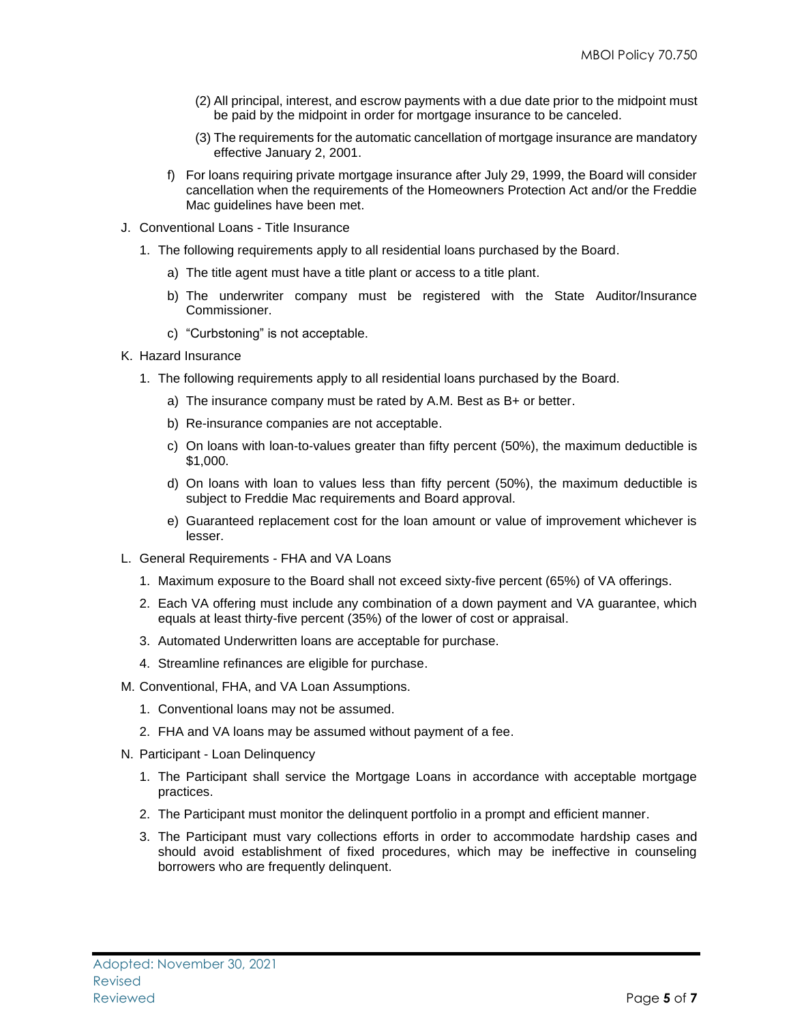- (2) All principal, interest, and escrow payments with a due date prior to the midpoint must be paid by the midpoint in order for mortgage insurance to be canceled.
- (3) The requirements for the automatic cancellation of mortgage insurance are mandatory effective January 2, 2001.
- f) For loans requiring private mortgage insurance after July 29, 1999, the Board will consider cancellation when the requirements of the Homeowners Protection Act and/or the Freddie Mac guidelines have been met.
- J. Conventional Loans Title Insurance
	- 1. The following requirements apply to all residential loans purchased by the Board.
		- a) The title agent must have a title plant or access to a title plant.
		- b) The underwriter company must be registered with the State Auditor/Insurance Commissioner.
		- c) "Curbstoning" is not acceptable.
- K. Hazard Insurance
	- 1. The following requirements apply to all residential loans purchased by the Board.
		- a) The insurance company must be rated by A.M. Best as B+ or better.
		- b) Re-insurance companies are not acceptable.
		- c) On loans with loan-to-values greater than fifty percent (50%), the maximum deductible is \$1,000.
		- d) On loans with loan to values less than fifty percent (50%), the maximum deductible is subject to Freddie Mac requirements and Board approval.
		- e) Guaranteed replacement cost for the loan amount or value of improvement whichever is lesser.
- L. General Requirements FHA and VA Loans
	- 1. Maximum exposure to the Board shall not exceed sixty-five percent (65%) of VA offerings.
	- 2. Each VA offering must include any combination of a down payment and VA guarantee, which equals at least thirty-five percent (35%) of the lower of cost or appraisal.
	- 3. Automated Underwritten loans are acceptable for purchase.
	- 4. Streamline refinances are eligible for purchase.
- M. Conventional, FHA, and VA Loan Assumptions.
	- 1. Conventional loans may not be assumed.
	- 2. FHA and VA loans may be assumed without payment of a fee.
- N. Participant Loan Delinquency
	- 1. The Participant shall service the Mortgage Loans in accordance with acceptable mortgage practices.
	- 2. The Participant must monitor the delinquent portfolio in a prompt and efficient manner.
	- 3. The Participant must vary collections efforts in order to accommodate hardship cases and should avoid establishment of fixed procedures, which may be ineffective in counseling borrowers who are frequently delinquent.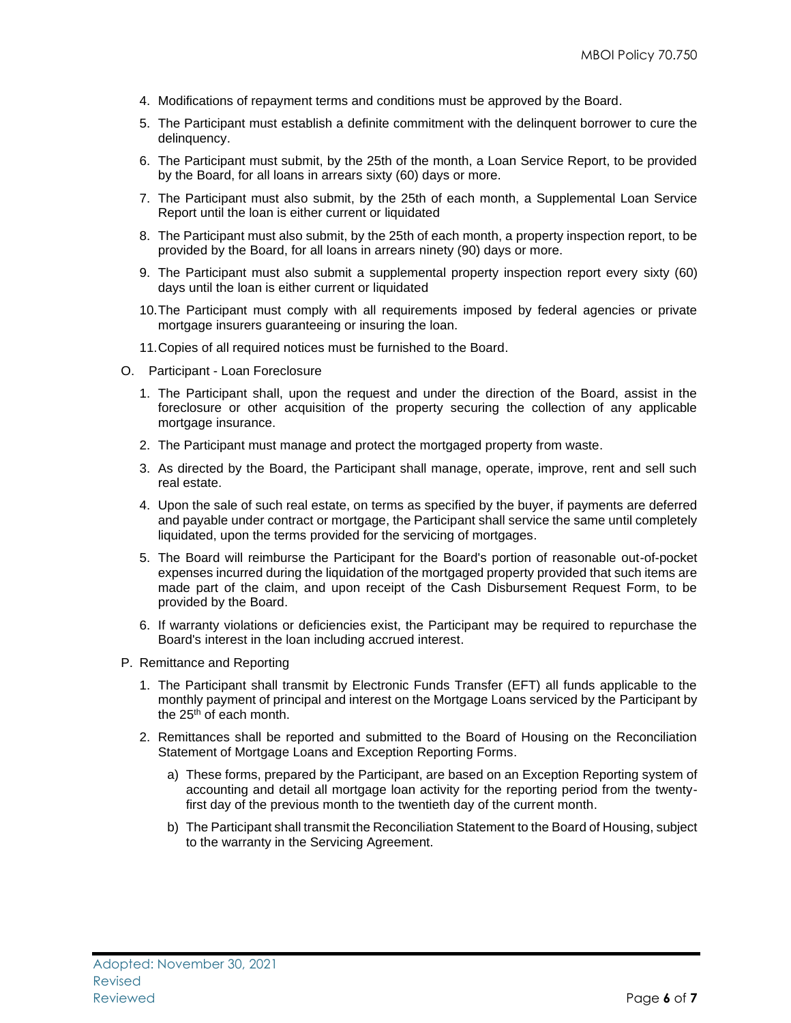- 4. Modifications of repayment terms and conditions must be approved by the Board.
- 5. The Participant must establish a definite commitment with the delinquent borrower to cure the delinquency.
- 6. The Participant must submit, by the 25th of the month, a Loan Service Report, to be provided by the Board, for all loans in arrears sixty (60) days or more.
- 7. The Participant must also submit, by the 25th of each month, a Supplemental Loan Service Report until the loan is either current or liquidated
- 8. The Participant must also submit, by the 25th of each month, a property inspection report, to be provided by the Board, for all loans in arrears ninety (90) days or more.
- 9. The Participant must also submit a supplemental property inspection report every sixty (60) days until the loan is either current or liquidated
- 10.The Participant must comply with all requirements imposed by federal agencies or private mortgage insurers guaranteeing or insuring the loan.
- 11.Copies of all required notices must be furnished to the Board.
- O. Participant Loan Foreclosure
	- 1. The Participant shall, upon the request and under the direction of the Board, assist in the foreclosure or other acquisition of the property securing the collection of any applicable mortgage insurance.
	- 2. The Participant must manage and protect the mortgaged property from waste.
	- 3. As directed by the Board, the Participant shall manage, operate, improve, rent and sell such real estate.
	- 4. Upon the sale of such real estate, on terms as specified by the buyer, if payments are deferred and payable under contract or mortgage, the Participant shall service the same until completely liquidated, upon the terms provided for the servicing of mortgages.
	- 5. The Board will reimburse the Participant for the Board's portion of reasonable out-of-pocket expenses incurred during the liquidation of the mortgaged property provided that such items are made part of the claim, and upon receipt of the Cash Disbursement Request Form, to be provided by the Board.
	- 6. If warranty violations or deficiencies exist, the Participant may be required to repurchase the Board's interest in the loan including accrued interest.
- P. Remittance and Reporting
	- 1. The Participant shall transmit by Electronic Funds Transfer (EFT) all funds applicable to the monthly payment of principal and interest on the Mortgage Loans serviced by the Participant by the  $25<sup>th</sup>$  of each month.
	- 2. Remittances shall be reported and submitted to the Board of Housing on the Reconciliation Statement of Mortgage Loans and Exception Reporting Forms.
		- a) These forms, prepared by the Participant, are based on an Exception Reporting system of accounting and detail all mortgage loan activity for the reporting period from the twentyfirst day of the previous month to the twentieth day of the current month.
		- b) The Participant shall transmit the Reconciliation Statement to the Board of Housing, subject to the warranty in the Servicing Agreement.